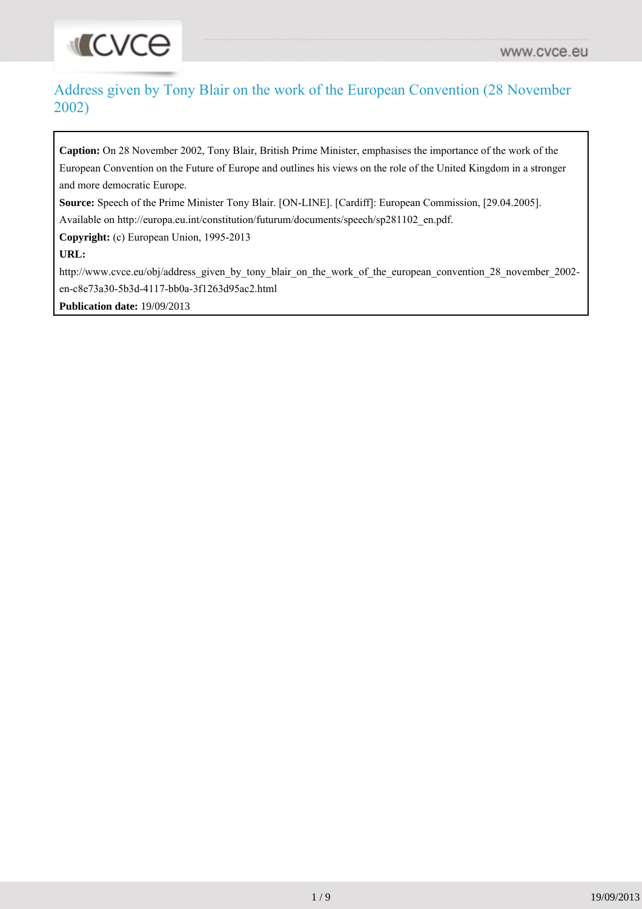# **INCACE**

### Address given by Tony Blair on the work of the European Convention (28 November 2002)

**Caption:** On 28 November 2002, Tony Blair, British Prime Minister, emphasises the importance of the work of the European Convention on the Future of Europe and outlines his views on the role of the United Kingdom in a stronger and more democratic Europe.

**Source:** Speech of the Prime Minister Tony Blair. [ON-LINE]. [Cardiff]: European Commission, [29.04.2005]. Available on http://europa.eu.int/constitution/futurum/documents/speech/sp281102\_en.pdf.

**Copyright:** (c) European Union, 1995-2013

**URL:**

http://www.cvce.eu/obj/address\_given\_by\_tony\_blair\_on\_the\_work\_of\_the\_european\_convention\_28\_november\_2002en-c8e73a30-5b3d-4117-bb0a-3f1263d95ac2.html

**Publication date:** 19/09/2013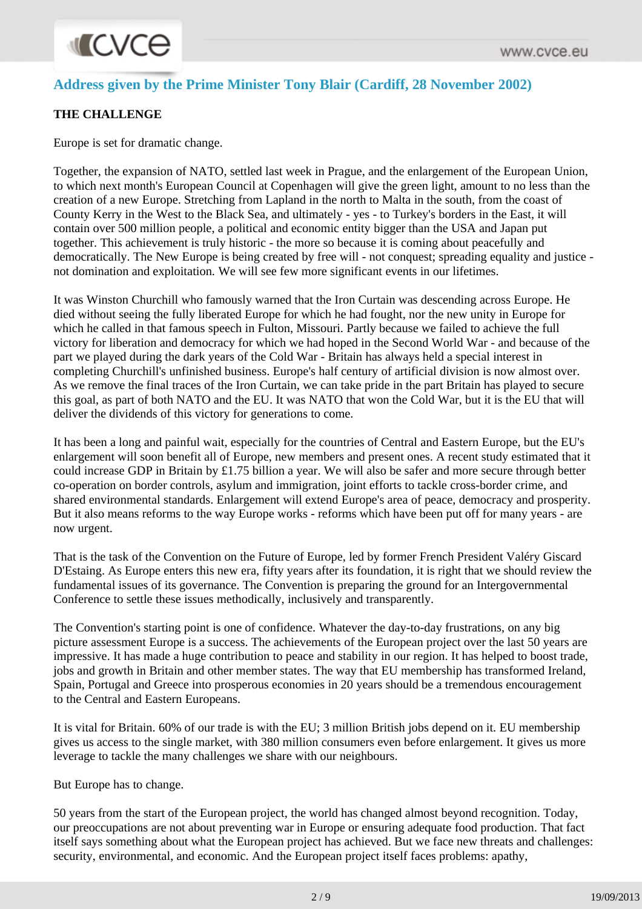# **INCVCe**

### **Address given by the Prime Minister Tony Blair (Cardiff, 28 November 2002)**

### **THE CHALLENGE**

Europe is set for dramatic change.

Together, the expansion of NATO, settled last week in Prague, and the enlargement of the European Union, to which next month's European Council at Copenhagen will give the green light, amount to no less than the creation of a new Europe. Stretching from Lapland in the north to Malta in the south, from the coast of County Kerry in the West to the Black Sea, and ultimately - yes - to Turkey's borders in the East, it will contain over 500 million people, a political and economic entity bigger than the USA and Japan put together. This achievement is truly historic - the more so because it is coming about peacefully and democratically. The New Europe is being created by free will - not conquest; spreading equality and justice not domination and exploitation. We will see few more significant events in our lifetimes.

It was Winston Churchill who famously warned that the Iron Curtain was descending across Europe. He died without seeing the fully liberated Europe for which he had fought, nor the new unity in Europe for which he called in that famous speech in Fulton, Missouri. Partly because we failed to achieve the full victory for liberation and democracy for which we had hoped in the Second World War - and because of the part we played during the dark years of the Cold War - Britain has always held a special interest in completing Churchill's unfinished business. Europe's half century of artificial division is now almost over. As we remove the final traces of the Iron Curtain, we can take pride in the part Britain has played to secure this goal, as part of both NATO and the EU. It was NATO that won the Cold War, but it is the EU that will deliver the dividends of this victory for generations to come.

It has been a long and painful wait, especially for the countries of Central and Eastern Europe, but the EU's enlargement will soon benefit all of Europe, new members and present ones. A recent study estimated that it could increase GDP in Britain by £1.75 billion a year. We will also be safer and more secure through better co-operation on border controls, asylum and immigration, joint efforts to tackle cross-border crime, and shared environmental standards. Enlargement will extend Europe's area of peace, democracy and prosperity. But it also means reforms to the way Europe works - reforms which have been put off for many years - are now urgent.

That is the task of the Convention on the Future of Europe, led by former French President Valéry Giscard D'Estaing. As Europe enters this new era, fifty years after its foundation, it is right that we should review the fundamental issues of its governance. The Convention is preparing the ground for an Intergovernmental Conference to settle these issues methodically, inclusively and transparently.

The Convention's starting point is one of confidence. Whatever the day-to-day frustrations, on any big picture assessment Europe is a success. The achievements of the European project over the last 50 years are impressive. It has made a huge contribution to peace and stability in our region. It has helped to boost trade, jobs and growth in Britain and other member states. The way that EU membership has transformed Ireland, Spain, Portugal and Greece into prosperous economies in 20 years should be a tremendous encouragement to the Central and Eastern Europeans.

It is vital for Britain. 60% of our trade is with the EU; 3 million British jobs depend on it. EU membership gives us access to the single market, with 380 million consumers even before enlargement. It gives us more leverage to tackle the many challenges we share with our neighbours.

But Europe has to change.

50 years from the start of the European project, the world has changed almost beyond recognition. Today, our preoccupations are not about preventing war in Europe or ensuring adequate food production. That fact itself says something about what the European project has achieved. But we face new threats and challenges: security, environmental, and economic. And the European project itself faces problems: apathy,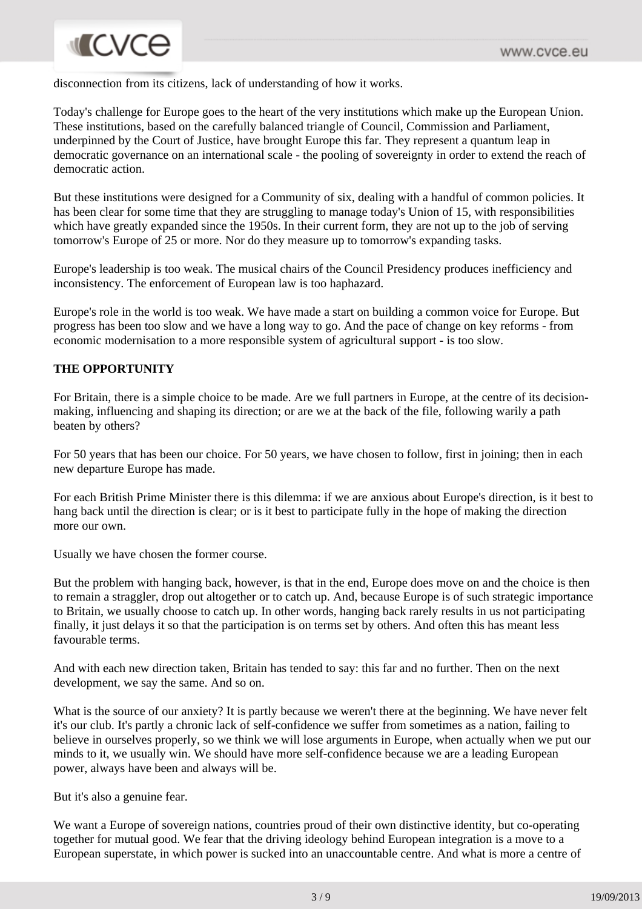## **ILCVCe**

disconnection from its citizens, lack of understanding of how it works.

Today's challenge for Europe goes to the heart of the very institutions which make up the European Union. These institutions, based on the carefully balanced triangle of Council, Commission and Parliament, underpinned by the Court of Justice, have brought Europe this far. They represent a quantum leap in democratic governance on an international scale - the pooling of sovereignty in order to extend the reach of democratic action.

But these institutions were designed for a Community of six, dealing with a handful of common policies. It has been clear for some time that they are struggling to manage today's Union of 15, with responsibilities which have greatly expanded since the 1950s. In their current form, they are not up to the job of serving tomorrow's Europe of 25 or more. Nor do they measure up to tomorrow's expanding tasks.

Europe's leadership is too weak. The musical chairs of the Council Presidency produces inefficiency and inconsistency. The enforcement of European law is too haphazard.

Europe's role in the world is too weak. We have made a start on building a common voice for Europe. But progress has been too slow and we have a long way to go. And the pace of change on key reforms - from economic modernisation to a more responsible system of agricultural support - is too slow.

#### **THE OPPORTUNITY**

For Britain, there is a simple choice to be made. Are we full partners in Europe, at the centre of its decisionmaking, influencing and shaping its direction; or are we at the back of the file, following warily a path beaten by others?

For 50 years that has been our choice. For 50 years, we have chosen to follow, first in joining; then in each new departure Europe has made.

For each British Prime Minister there is this dilemma: if we are anxious about Europe's direction, is it best to hang back until the direction is clear; or is it best to participate fully in the hope of making the direction more our own.

Usually we have chosen the former course.

But the problem with hanging back, however, is that in the end, Europe does move on and the choice is then to remain a straggler, drop out altogether or to catch up. And, because Europe is of such strategic importance to Britain, we usually choose to catch up. In other words, hanging back rarely results in us not participating finally, it just delays it so that the participation is on terms set by others. And often this has meant less favourable terms.

And with each new direction taken, Britain has tended to say: this far and no further. Then on the next development, we say the same. And so on.

What is the source of our anxiety? It is partly because we weren't there at the beginning. We have never felt it's our club. It's partly a chronic lack of self-confidence we suffer from sometimes as a nation, failing to believe in ourselves properly, so we think we will lose arguments in Europe, when actually when we put our minds to it, we usually win. We should have more self-confidence because we are a leading European power, always have been and always will be.

But it's also a genuine fear.

We want a Europe of sovereign nations, countries proud of their own distinctive identity, but co-operating together for mutual good. We fear that the driving ideology behind European integration is a move to a European superstate, in which power is sucked into an unaccountable centre. And what is more a centre of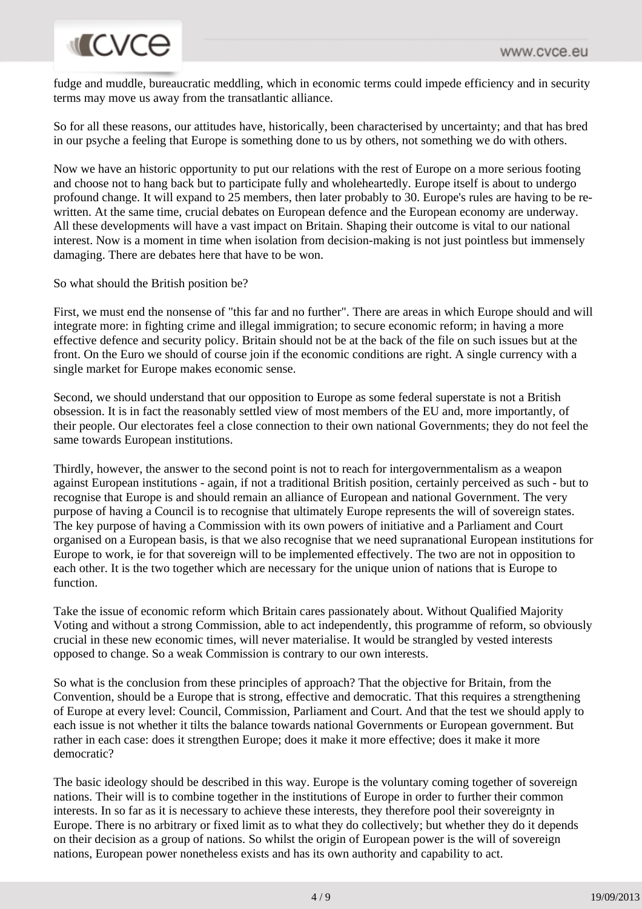fudge and muddle, bureaucratic meddling, which in economic terms could impede efficiency and in security terms may move us away from the transatlantic alliance.

So for all these reasons, our attitudes have, historically, been characterised by uncertainty; and that has bred in our psyche a feeling that Europe is something done to us by others, not something we do with others.

Now we have an historic opportunity to put our relations with the rest of Europe on a more serious footing and choose not to hang back but to participate fully and wholeheartedly. Europe itself is about to undergo profound change. It will expand to 25 members, then later probably to 30. Europe's rules are having to be rewritten. At the same time, crucial debates on European defence and the European economy are underway. All these developments will have a vast impact on Britain. Shaping their outcome is vital to our national interest. Now is a moment in time when isolation from decision-making is not just pointless but immensely damaging. There are debates here that have to be won.

So what should the British position be?

First, we must end the nonsense of "this far and no further". There are areas in which Europe should and will integrate more: in fighting crime and illegal immigration; to secure economic reform; in having a more effective defence and security policy. Britain should not be at the back of the file on such issues but at the front. On the Euro we should of course join if the economic conditions are right. A single currency with a single market for Europe makes economic sense.

Second, we should understand that our opposition to Europe as some federal superstate is not a British obsession. It is in fact the reasonably settled view of most members of the EU and, more importantly, of their people. Our electorates feel a close connection to their own national Governments; they do not feel the same towards European institutions.

Thirdly, however, the answer to the second point is not to reach for intergovernmentalism as a weapon against European institutions - again, if not a traditional British position, certainly perceived as such - but to recognise that Europe is and should remain an alliance of European and national Government. The very purpose of having a Council is to recognise that ultimately Europe represents the will of sovereign states. The key purpose of having a Commission with its own powers of initiative and a Parliament and Court organised on a European basis, is that we also recognise that we need supranational European institutions for Europe to work, ie for that sovereign will to be implemented effectively. The two are not in opposition to each other. It is the two together which are necessary for the unique union of nations that is Europe to function.

Take the issue of economic reform which Britain cares passionately about. Without Qualified Majority Voting and without a strong Commission, able to act independently, this programme of reform, so obviously crucial in these new economic times, will never materialise. It would be strangled by vested interests opposed to change. So a weak Commission is contrary to our own interests.

So what is the conclusion from these principles of approach? That the objective for Britain, from the Convention, should be a Europe that is strong, effective and democratic. That this requires a strengthening of Europe at every level: Council, Commission, Parliament and Court. And that the test we should apply to each issue is not whether it tilts the balance towards national Governments or European government. But rather in each case: does it strengthen Europe; does it make it more effective; does it make it more democratic?

The basic ideology should be described in this way. Europe is the voluntary coming together of sovereign nations. Their will is to combine together in the institutions of Europe in order to further their common interests. In so far as it is necessary to achieve these interests, they therefore pool their sovereignty in Europe. There is no arbitrary or fixed limit as to what they do collectively; but whether they do it depends on their decision as a group of nations. So whilst the origin of European power is the will of sovereign nations, European power nonetheless exists and has its own authority and capability to act.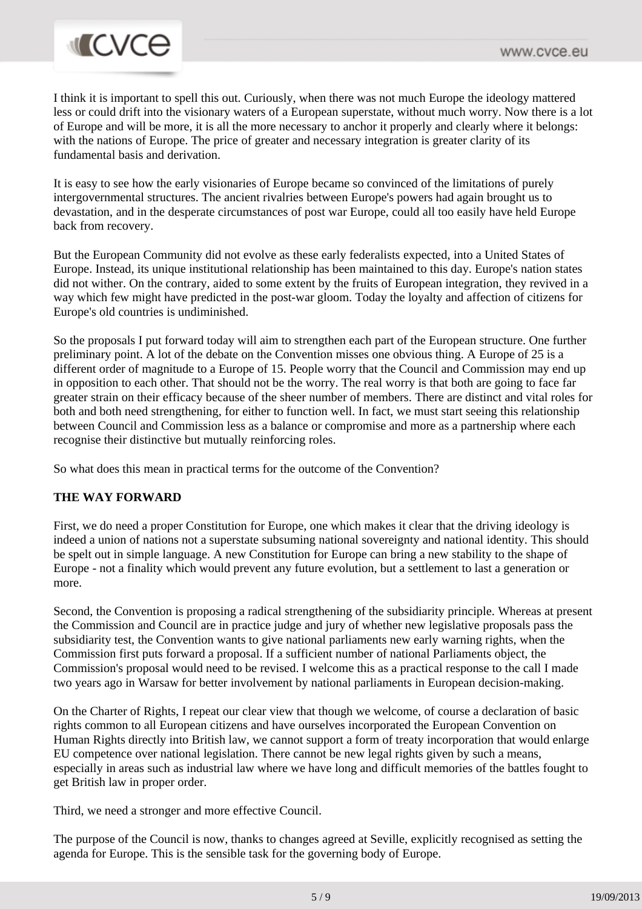

I think it is important to spell this out. Curiously, when there was not much Europe the ideology mattered less or could drift into the visionary waters of a European superstate, without much worry. Now there is a lot of Europe and will be more, it is all the more necessary to anchor it properly and clearly where it belongs: with the nations of Europe. The price of greater and necessary integration is greater clarity of its fundamental basis and derivation.

It is easy to see how the early visionaries of Europe became so convinced of the limitations of purely intergovernmental structures. The ancient rivalries between Europe's powers had again brought us to devastation, and in the desperate circumstances of post war Europe, could all too easily have held Europe back from recovery.

But the European Community did not evolve as these early federalists expected, into a United States of Europe. Instead, its unique institutional relationship has been maintained to this day. Europe's nation states did not wither. On the contrary, aided to some extent by the fruits of European integration, they revived in a way which few might have predicted in the post-war gloom. Today the loyalty and affection of citizens for Europe's old countries is undiminished.

So the proposals I put forward today will aim to strengthen each part of the European structure. One further preliminary point. A lot of the debate on the Convention misses one obvious thing. A Europe of 25 is a different order of magnitude to a Europe of 15. People worry that the Council and Commission may end up in opposition to each other. That should not be the worry. The real worry is that both are going to face far greater strain on their efficacy because of the sheer number of members. There are distinct and vital roles for both and both need strengthening, for either to function well. In fact, we must start seeing this relationship between Council and Commission less as a balance or compromise and more as a partnership where each recognise their distinctive but mutually reinforcing roles.

So what does this mean in practical terms for the outcome of the Convention?

#### **THE WAY FORWARD**

First, we do need a proper Constitution for Europe, one which makes it clear that the driving ideology is indeed a union of nations not a superstate subsuming national sovereignty and national identity. This should be spelt out in simple language. A new Constitution for Europe can bring a new stability to the shape of Europe - not a finality which would prevent any future evolution, but a settlement to last a generation or more.

Second, the Convention is proposing a radical strengthening of the subsidiarity principle. Whereas at present the Commission and Council are in practice judge and jury of whether new legislative proposals pass the subsidiarity test, the Convention wants to give national parliaments new early warning rights, when the Commission first puts forward a proposal. If a sufficient number of national Parliaments object, the Commission's proposal would need to be revised. I welcome this as a practical response to the call I made two years ago in Warsaw for better involvement by national parliaments in European decision-making.

On the Charter of Rights, I repeat our clear view that though we welcome, of course a declaration of basic rights common to all European citizens and have ourselves incorporated the European Convention on Human Rights directly into British law, we cannot support a form of treaty incorporation that would enlarge EU competence over national legislation. There cannot be new legal rights given by such a means, especially in areas such as industrial law where we have long and difficult memories of the battles fought to get British law in proper order.

Third, we need a stronger and more effective Council.

The purpose of the Council is now, thanks to changes agreed at Seville, explicitly recognised as setting the agenda for Europe. This is the sensible task for the governing body of Europe.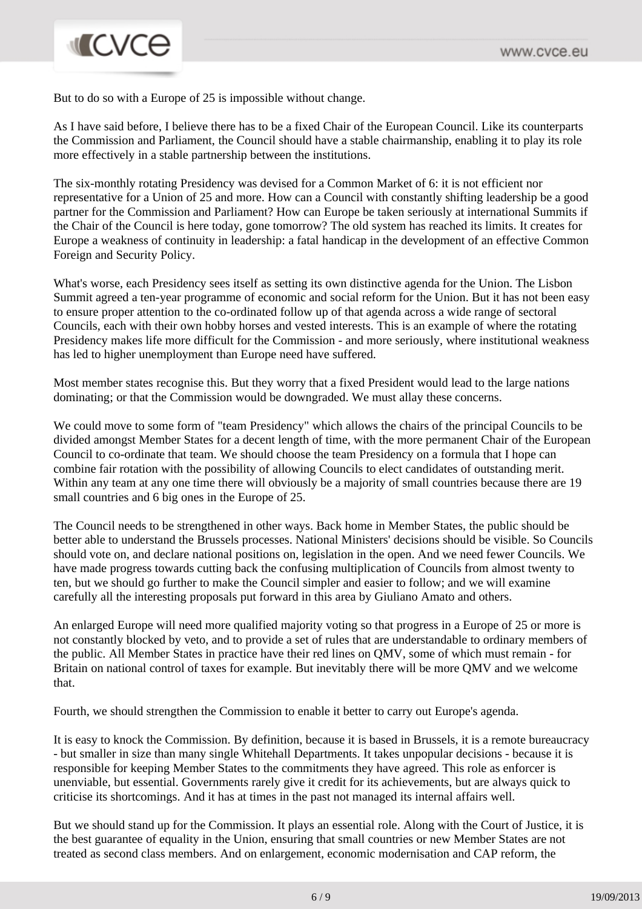But to do so with a Europe of 25 is impossible without change.

As I have said before, I believe there has to be a fixed Chair of the European Council. Like its counterparts the Commission and Parliament, the Council should have a stable chairmanship, enabling it to play its role more effectively in a stable partnership between the institutions.

The six-monthly rotating Presidency was devised for a Common Market of 6: it is not efficient nor representative for a Union of 25 and more. How can a Council with constantly shifting leadership be a good partner for the Commission and Parliament? How can Europe be taken seriously at international Summits if the Chair of the Council is here today, gone tomorrow? The old system has reached its limits. It creates for Europe a weakness of continuity in leadership: a fatal handicap in the development of an effective Common Foreign and Security Policy.

What's worse, each Presidency sees itself as setting its own distinctive agenda for the Union. The Lisbon Summit agreed a ten-year programme of economic and social reform for the Union. But it has not been easy to ensure proper attention to the co-ordinated follow up of that agenda across a wide range of sectoral Councils, each with their own hobby horses and vested interests. This is an example of where the rotating Presidency makes life more difficult for the Commission - and more seriously, where institutional weakness has led to higher unemployment than Europe need have suffered.

Most member states recognise this. But they worry that a fixed President would lead to the large nations dominating; or that the Commission would be downgraded. We must allay these concerns.

We could move to some form of "team Presidency" which allows the chairs of the principal Councils to be divided amongst Member States for a decent length of time, with the more permanent Chair of the European Council to co-ordinate that team. We should choose the team Presidency on a formula that I hope can combine fair rotation with the possibility of allowing Councils to elect candidates of outstanding merit. Within any team at any one time there will obviously be a majority of small countries because there are 19 small countries and 6 big ones in the Europe of 25.

The Council needs to be strengthened in other ways. Back home in Member States, the public should be better able to understand the Brussels processes. National Ministers' decisions should be visible. So Councils should vote on, and declare national positions on, legislation in the open. And we need fewer Councils. We have made progress towards cutting back the confusing multiplication of Councils from almost twenty to ten, but we should go further to make the Council simpler and easier to follow; and we will examine carefully all the interesting proposals put forward in this area by Giuliano Amato and others.

An enlarged Europe will need more qualified majority voting so that progress in a Europe of 25 or more is not constantly blocked by veto, and to provide a set of rules that are understandable to ordinary members of the public. All Member States in practice have their red lines on QMV, some of which must remain - for Britain on national control of taxes for example. But inevitably there will be more QMV and we welcome that.

Fourth, we should strengthen the Commission to enable it better to carry out Europe's agenda.

It is easy to knock the Commission. By definition, because it is based in Brussels, it is a remote bureaucracy - but smaller in size than many single Whitehall Departments. It takes unpopular decisions - because it is responsible for keeping Member States to the commitments they have agreed. This role as enforcer is unenviable, but essential. Governments rarely give it credit for its achievements, but are always quick to criticise its shortcomings. And it has at times in the past not managed its internal affairs well.

But we should stand up for the Commission. It plays an essential role. Along with the Court of Justice, it is the best guarantee of equality in the Union, ensuring that small countries or new Member States are not treated as second class members. And on enlargement, economic modernisation and CAP reform, the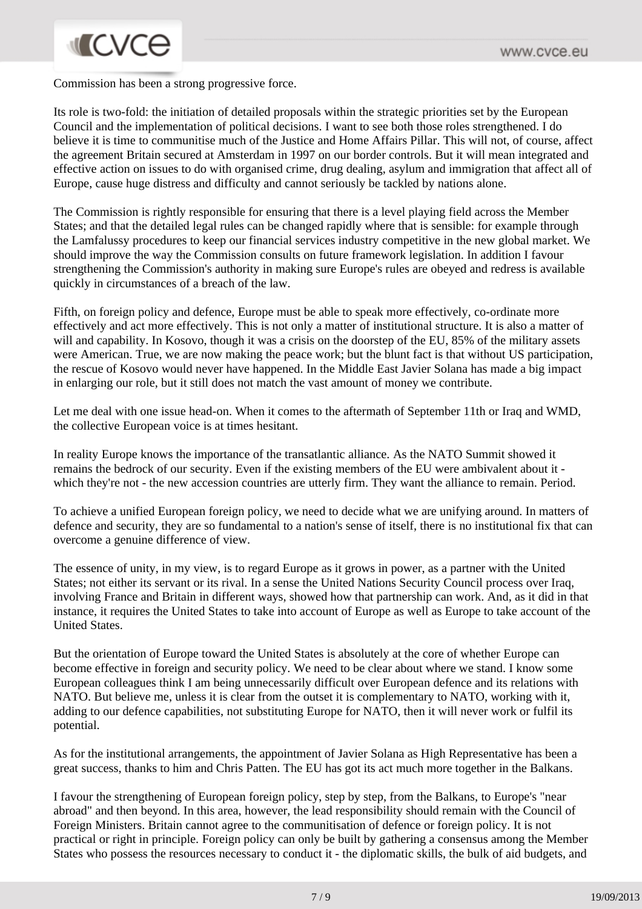Commission has been a strong progressive force.

Its role is two-fold: the initiation of detailed proposals within the strategic priorities set by the European Council and the implementation of political decisions. I want to see both those roles strengthened. I do believe it is time to communitise much of the Justice and Home Affairs Pillar. This will not, of course, affect the agreement Britain secured at Amsterdam in 1997 on our border controls. But it will mean integrated and effective action on issues to do with organised crime, drug dealing, asylum and immigration that affect all of Europe, cause huge distress and difficulty and cannot seriously be tackled by nations alone.

The Commission is rightly responsible for ensuring that there is a level playing field across the Member States; and that the detailed legal rules can be changed rapidly where that is sensible: for example through the Lamfalussy procedures to keep our financial services industry competitive in the new global market. We should improve the way the Commission consults on future framework legislation. In addition I favour strengthening the Commission's authority in making sure Europe's rules are obeyed and redress is available quickly in circumstances of a breach of the law.

Fifth, on foreign policy and defence, Europe must be able to speak more effectively, co-ordinate more effectively and act more effectively. This is not only a matter of institutional structure. It is also a matter of will and capability. In Kosovo, though it was a crisis on the doorstep of the EU, 85% of the military assets were American. True, we are now making the peace work; but the blunt fact is that without US participation, the rescue of Kosovo would never have happened. In the Middle East Javier Solana has made a big impact in enlarging our role, but it still does not match the vast amount of money we contribute.

Let me deal with one issue head-on. When it comes to the aftermath of September 11th or Iraq and WMD, the collective European voice is at times hesitant.

In reality Europe knows the importance of the transatlantic alliance. As the NATO Summit showed it remains the bedrock of our security. Even if the existing members of the EU were ambivalent about it which they're not - the new accession countries are utterly firm. They want the alliance to remain. Period.

To achieve a unified European foreign policy, we need to decide what we are unifying around. In matters of defence and security, they are so fundamental to a nation's sense of itself, there is no institutional fix that can overcome a genuine difference of view.

The essence of unity, in my view, is to regard Europe as it grows in power, as a partner with the United States; not either its servant or its rival. In a sense the United Nations Security Council process over Iraq, involving France and Britain in different ways, showed how that partnership can work. And, as it did in that instance, it requires the United States to take into account of Europe as well as Europe to take account of the United States.

But the orientation of Europe toward the United States is absolutely at the core of whether Europe can become effective in foreign and security policy. We need to be clear about where we stand. I know some European colleagues think I am being unnecessarily difficult over European defence and its relations with NATO. But believe me, unless it is clear from the outset it is complementary to NATO, working with it, adding to our defence capabilities, not substituting Europe for NATO, then it will never work or fulfil its potential.

As for the institutional arrangements, the appointment of Javier Solana as High Representative has been a great success, thanks to him and Chris Patten. The EU has got its act much more together in the Balkans.

I favour the strengthening of European foreign policy, step by step, from the Balkans, to Europe's "near abroad" and then beyond. In this area, however, the lead responsibility should remain with the Council of Foreign Ministers. Britain cannot agree to the communitisation of defence or foreign policy. It is not practical or right in principle. Foreign policy can only be built by gathering a consensus among the Member States who possess the resources necessary to conduct it - the diplomatic skills, the bulk of aid budgets, and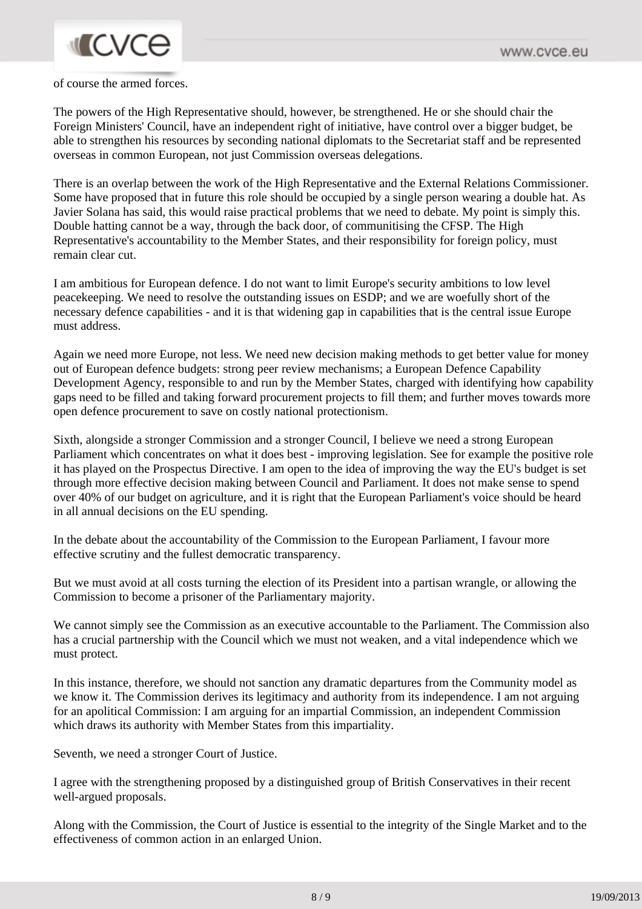#### of course the armed forces.

The powers of the High Representative should, however, be strengthened. He or she should chair the Foreign Ministers' Council, have an independent right of initiative, have control over a bigger budget, be able to strengthen his resources by seconding national diplomats to the Secretariat staff and be represented overseas in common European, not just Commission overseas delegations.

There is an overlap between the work of the High Representative and the External Relations Commissioner. Some have proposed that in future this role should be occupied by a single person wearing a double hat. As Javier Solana has said, this would raise practical problems that we need to debate. My point is simply this. Double hatting cannot be a way, through the back door, of communitising the CFSP. The High Representative's accountability to the Member States, and their responsibility for foreign policy, must remain clear cut.

I am ambitious for European defence. I do not want to limit Europe's security ambitions to low level peacekeeping. We need to resolve the outstanding issues on ESDP; and we are woefully short of the necessary defence capabilities - and it is that widening gap in capabilities that is the central issue Europe must address.

Again we need more Europe, not less. We need new decision making methods to get better value for money out of European defence budgets: strong peer review mechanisms; a European Defence Capability Development Agency, responsible to and run by the Member States, charged with identifying how capability gaps need to be filled and taking forward procurement projects to fill them; and further moves towards more open defence procurement to save on costly national protectionism.

Sixth, alongside a stronger Commission and a stronger Council, I believe we need a strong European Parliament which concentrates on what it does best - improving legislation. See for example the positive role it has played on the Prospectus Directive. I am open to the idea of improving the way the EU's budget is set through more effective decision making between Council and Parliament. It does not make sense to spend over 40% of our budget on agriculture, and it is right that the European Parliament's voice should be heard in all annual decisions on the EU spending.

In the debate about the accountability of the Commission to the European Parliament, I favour more effective scrutiny and the fullest democratic transparency.

But we must avoid at all costs turning the election of its President into a partisan wrangle, or allowing the Commission to become a prisoner of the Parliamentary majority.

We cannot simply see the Commission as an executive accountable to the Parliament. The Commission also has a crucial partnership with the Council which we must not weaken, and a vital independence which we must protect.

In this instance, therefore, we should not sanction any dramatic departures from the Community model as we know it. The Commission derives its legitimacy and authority from its independence. I am not arguing for an apolitical Commission: I am arguing for an impartial Commission, an independent Commission which draws its authority with Member States from this impartiality.

Seventh, we need a stronger Court of Justice.

I agree with the strengthening proposed by a distinguished group of British Conservatives in their recent well-argued proposals.

Along with the Commission, the Court of Justice is essential to the integrity of the Single Market and to the effectiveness of common action in an enlarged Union.